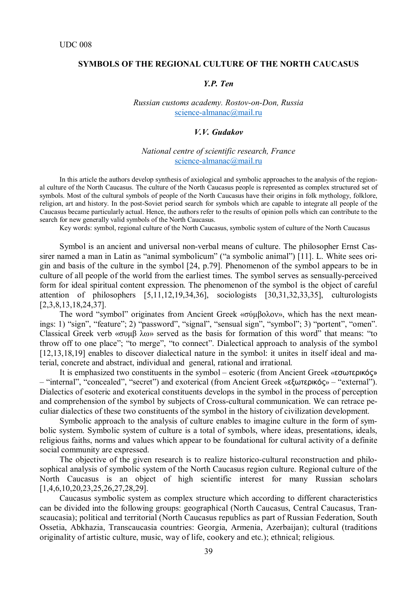# **SYMBOLS OF THE REGIONAL CULTURE OF THE NORTH CAUCASUS**

# *Y.P. Ten*

*Russian customs academy. Rostov-on-Don, Russia* [science-almanac@mail.ru](mailto:science-almanac@mail.ru)

#### *V.V. Gudakov*

# *National centre of scientific research, France* [science-almanac@mail.ru](mailto:science-almanac@mail.ru)

In this article the authors develop synthesis of axiological and symbolic approaches to the analysis of the regional culture of the North Caucasus. The culture of the North Caucasus people is represented as complex structured set of symbols. Most of the cultural symbols of people of the North Caucasus have their origins in folk mythology, folklore, religion, art and history. In the post-Soviet period search for symbols which are capable to integrate all people of the Caucasus became particularly actual. Hence, the authors refer to the results of opinion polls which can contribute to the search for new generally valid symbols of the North Caucasus.

Key words: symbol, regional culture of the North Caucasus, symbolic system of culture of the North Caucasus

Symbol is an ancient and universal non-verbal means of culture. The philosopher Ernst Cassirer named a man in Latin as "animal symbolicum" ("a symbolic animal") [11]. L. White sees origin and basis of the culture in the symbol [24, p.79]. Phenomenon of the symbol appears to be in culture of all people of the world from the earliest times. The symbol serves as sensually-perceived form for ideal spiritual content expression. The phenomenon of the symbol is the object of careful attention of philosophers [5,11,12,19,34,36], sociologists [30,31,32,33,35], culturologists [2,3,8,13,18,24,37].

The word "symbol" originates from Ancient Greek «σύμβολον», which has the next meanings: 1) "sign", "feature"; 2) "password", "signal", "sensual sign", "symbol"; 3) "portent", "omen". Classical Greek verb «συμβ λω» served as the basis for formation of this word" that means: "to throw off to one place"; "to merge", "to connect". Dialectical approach to analysis of the symbol [12,13,18,19] enables to discover dialectical nature in the symbol: it unites in itself ideal and material, concrete and abstract, individual and general, rational and irrational.

It is emphasized two constituents in the symbol – esoteric (from Ancient Greek «εσωτερικός» – "internal", "concealed", "secret") and exoterical (from Ancient Greek «εξωτερικός» – "external"). Dialectics of esoteric and exoterical constituents develops in the symbol in the process of perception and comprehension of the symbol by subjects of Cross-cultural communication. We can retrace peculiar dialectics of these two constituents of the symbol in the history of civilization development.

Symbolic approach to the analysis of culture enables to imagine culture in the form of symbolic system. Symbolic system of culture is a total of symbols, where ideas, presentations, ideals, religious faiths, norms and values which appear to be foundational for cultural activity of a definite social community are expressed.

The objective of the given research is to realize historico-cultural reconstruction and philosophical analysis of symbolic system of the North Caucasus region culture. Regional culture of the North Caucasus is an object of high scientific interest for many Russian scholars [1,4,6,10,20,23,25,26,27,28,29].

Caucasus symbolic system as complex structure which according to different characteristics can be divided into the following groups: geographical (North Caucasus, Central Caucasus, Transcaucasia); political and territorial (North Caucasus republics as part of Russian Federation, South Ossetia, Abkhazia, Transcaucasia countries: Georgia, Armenia, Azerbaijan); cultural (traditions originality of artistic culture, music, way of life, cookery and etc.); ethnical; religious.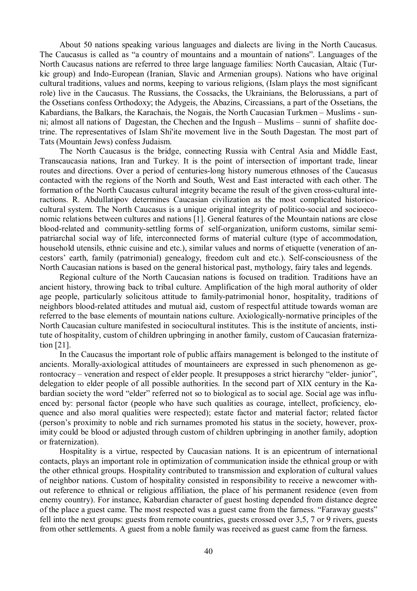About 50 nations speaking various languages and dialects are living in the North Caucasus. The Caucasus is called as "a country of mountains and a mountain of nations". Languages of the North Caucasus nations are referred to three large language families: North Caucasian, Altaic (Turkic group) and Indo-European (Iranian, Slavic and Armenian groups). Nations who have original cultural traditions, values and norms, keeping to various religions, (Islam plays the most significant role) live in the Caucasus. The Russians, the Cossacks, the Ukrainians, the Belorussians, a part of the Ossetians confess Orthodoxy; the Adygeis, the Abazins, Circassians, a part of the Ossetians, the Kabardians, the Balkars, the Karachais, the Nogais, the North Caucasian Turkmen – Muslims - sunni; almost all nations of Dagestan, the Chechen and the Ingush – Muslims – sunni of shafiite doctrine. The representatives of Islam Shi'ite movement live in the South Dagestan. The most part of Tats (Mountain Jews) confess Judaism.

The North Caucasus is the bridge, connecting Russia with Central Asia and Middle East, Transcaucasia nations, Iran and Turkey. It is the point of intersection of important trade, linear routes and directions. Over a period of centuries-long history numerous ethnoses of the Caucasus contacted with the regions of the North and South, West and East interacted with each other. The formation of the North Caucasus cultural integrity became the result of the given cross-cultural interactions. R. Abdullatipov determines Caucasian civilization as the most complicated historicocultural system. The North Caucasus is a unique original integrity of politico-social and socioeconomic relations between cultures and nations [1]. General features of the Mountain nations are close blood-related and community-settling forms of self-organization, uniform customs, similar semipatriarchal social way of life, interconnected forms of material culture (type of accommodation, household utensils, ethnic cuisine and etc.), similar values and norms of etiquette (veneration of ancestors' earth, family (patrimonial) genealogy, freedom cult and etc.). Self-consciousness of the North Caucasian nations is based on the general historical past, mythology, fairy tales and legends.

Regional culture of the North Caucasian nations is focused on tradition. Traditions have an ancient history, throwing back to tribal culture. Amplification of the high moral authority of older age people, particularly solicitous attitude to family-patrimonial honor, hospitality, traditions of neighbors blood-related attitudes and mutual aid, custom of respectful attitude towards woman are referred to the base elements of mountain nations culture. Axiologically-normative principles of the North Caucasian culture manifested in sociocultural institutes. This is the institute of ancients, institute of hospitality, custom of children upbringing in another family, custom of Caucasian fraternization [21].

In the Caucasus the important role of public affairs management is belonged to the institute of ancients. Morally-axiological attitudes of mountaineers are expressed in such phenomenon as gerontocracy – veneration and respect of elder people. It presupposes a strict hierarchy "elder- junior", delegation to elder people of all possible authorities. In the second part of XIX century in the Kabardian society the word "elder" referred not so to biological as to social age. Social age was influenced by: personal factor (people who have such qualities as courage, intellect, proficiency, eloquence and also moral qualities were respected); estate factor and material factor; related factor (person's proximity to noble and rich surnames promoted his status in the society, however, proximity could be blood or adjusted through custom of children upbringing in another family, adoption or fraternization).

Hospitality is a virtue, respected by Caucasian nations. It is an epicentrum of international contacts, plays an important role in optimization of communication inside the ethnical group or with the other ethnical groups. Hospitality contributed to transmission and exploration of cultural values of neighbor nations. Custom of hospitality consisted in responsibility to receive a newcomer without reference to ethnical or religious affiliation, the place of his permanent residence (even from enemy country). For instance, Kabardian character of guest hosting depended from distance degree of the place a guest came. The most respected was a guest came from the farness. "Faraway guests" fell into the next groups: guests from remote countries, guests crossed over 3,5, 7 or 9 rivers, guests from other settlements. A guest from a noble family was received as guest came from the farness.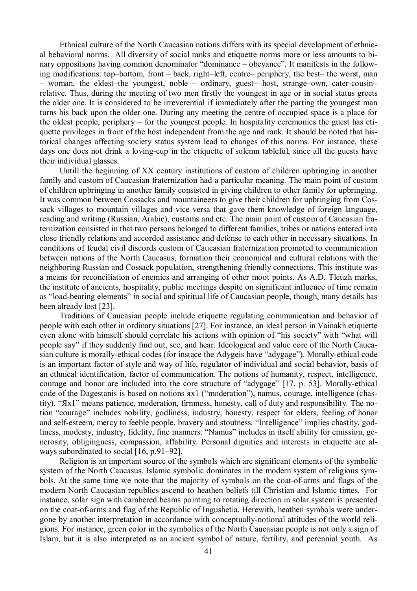Ethnical culture of the North Caucasian nations differs with its special development of ethnical behavioral norms. All diversity of social ranks and etiquette norms more or less amounts to binary oppositions having common denominator "dominance – obeyance". It manifests in the following modifications: top–bottom, front – back, right–left, centre– periphery, the best– the worst, man – woman, the eldest–the youngest, noble – ordinary, guest– host, strange–own, cater-cousin– relative. Thus, during the meeting of two men firstly the youngest in age or in social status greets the older one. It is considered to be irreverential if immediately after the parting the youngest man turns his back upon the older one. During any meeting the centre of occupied space is a place for the oldest people, periphery – for the youngest people. In hospitality ceremonies the guest has etiquette privileges in front of the host independent from the age and rank. It should be noted that historical changes affecting society status system lead to changes of this norms. For instance, these days one does not drink a loving-cup in the etiquette of solemn tableful, since all the guests have their individual glasses.

Untill the beginning of XX century institutions of custom of children upbringing in another family and custom of Caucasian fraternization had a particular meaning. The main point of custom of children upbringing in another family consisted in giving children to other family for upbringing. It was common between Cossacks and mountaineers to give their children for upbringing from Cossack villages to mountain villages and vice versa that gave them knowledge of foreign language, reading and writing (Russian, Arabic), customs and etc. The main point of custom of Caucasian fraternization consisted in that two persons belonged to different families, tribes or nations entered into close friendly relations and accorded assistance and defense to each other in necessary situations. In conditions of feudal civil discords custom of Caucasian fraternization promoted to communication between nations of the North Caucasus, formation their economical and cultural relations with the neighboring Russian and Cossack population, strengthening friendly connections. This institute was a means for reconciliation of enemies and arranging of other moot points. As A.D. Tleuzh marks, the institute of ancients, hospitality, public meetings despite on significant influence of time remain as "load-bearing elements" in social and spiritual life of Caucasian people, though, many details has been already lost [23].

Traditions of Caucasian people include etiquette regulating communication and behavior of people with each other in ordinary situations [27]. For instance, an ideal person in Vainakh etiquette even alone with himself should correlate his actions with opinion of "his society" with "what will people say" if they suddenly find out, see, and hear. Ideological and value core of the North Caucasian culture is morally-ethical codes (for instace the Adygeis have "adygage"). Morally-ethical code is an important factor of style and way of life, regulator of individual and social behavior, basis of an ethnical identification, factor of communication. The notions of humanity, respect, intelligence, courage and honor are included into the core structure of "adygage" [17, p. 53]. Morally-ethical code of the Dagestanis is based on notions ях1 ("moderation"), namus, courage, intelligence (chastity). "Ях1" means patience, moderation, firmness, honesty, call of duty and responsibility. The notion "courage" includes nobility, godliness, industry, honesty, respect for elders, feeling of honor and self-esteem, mercy to feeble people, bravery and stoutness. "Intelligence" implies chastity, godliness, modesty, industry, fidelity, fine manners. "Namus" includes in itself ability for emission, generosity, obligingness, compassion, affability. Personal dignities and interests in etiquette are always subordinated to social [16, p.91–92].

Religion is an important source of the symbols which are significant elements of the symbolic system of the North Caucasus. Islamic symbolic dominates in the modern system of religious symbols. At the same time we note that the majority of symbols on the coat-of-arms and flags of the modern North Caucasian republics ascend to heathen beliefs till Christian and Islamic times. For instance, solar sign with cambered beams pointing to rotating direction in solar system is presented on the coat-of-arms and flag of the Republic of Ingushetia. Herewith, heathen symbols were undergone by another interpretation in accordance with conceptually-notional attitudes of the world religions. For instance, green color in the symbolics of the North Caucasian people is not only a sign of Islam, but it is also interpreted as an ancient symbol of nature, fertility, and perennial youth. As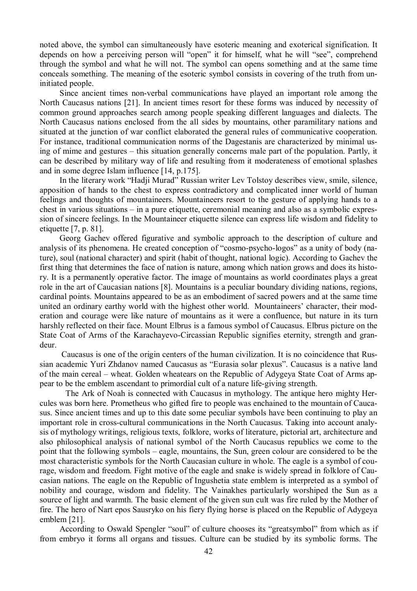noted above, the symbol can simultaneously have esoteric meaning and exoterical signification. It depends on how a perceiving person will "open" it for himself, what he will "see", comprehend through the symbol and what he will not. The symbol can opens something and at the same time conceals something. The meaning of the esoteric symbol consists in covering of the truth from uninitiated people.

Since ancient times non-verbal communications have played an important role among the North Caucasus nations [21]. In ancient times resort for these forms was induced by necessity of common ground approaches search among people speaking different languages and dialects. The North Caucasus nations enclosed from the all sides by mountains, other paramilitary nations and situated at the junction of war conflict elaborated the general rules of communicative cooperation. For instance, traditional communication norms of the Dagestanis are characterized by minimal using of mime and gestures – this situation generally concerns male part of the population. Partly, it can be described by military way of life and resulting from it moderateness of emotional splashes and in some degree Islam influence [14, p.175].

In the literary work "Hadji Murad" Russian writer Lev Tolstoy describes view, smile, silence, apposition of hands to the chest to express contradictory and complicated inner world of human feelings and thoughts of mountaineers. Mountaineers resort to the gesture of applying hands to a chest in various situations – in a pure etiquette, ceremonial meaning and also as a symbolic expression of sincere feelings. In the Mountaineer etiquette silence can express life wisdom and fidelity to etiquette [7, p. 81].

Georg Gachev offered figurative and symbolic approach to the description of culture and analysis of its phenomena. He created conception of "cosmo-psycho-logos" as a unity of body (nature), soul (national character) and spirit (habit of thought, national logic). According to Gachev the first thing that determines the face of nation is nature, among which nation grows and does its history. It is a permanently operative factor. The image of mountains as world coordinates plays a great role in the art of Caucasian nations [8]. Mountains is a peculiar boundary dividing nations, regions, cardinal points. Mountains appeared to be as an embodiment of sacred powers and at the same time united an ordinary earthy world with the highest other world. Mountaineers' character, their moderation and courage were like nature of mountains as it were a confluence, but nature in its turn harshly reflected on their face. Mount Elbrus is a famous symbol of Caucasus. Elbrus picture on the State Coat of Arms of the Karachayevo-Circassian Republic signifies eternity, strength and grandeur.

Caucasus is one of the origin centers of the human civilization. It is no coincidence that Russian academic Yuri Zhdanov named Caucasus as "Eurasia solar plexus". Caucasus is a native land of the main cereal – wheat. Golden wheatears on the Republic of Adygeya State Coat of Arms appear to be the emblem ascendant to primordial cult of a nature life-giving strength.

 The Ark of Noah is connected with Caucasus in mythology. The antique hero mighty Hercules was born here. Prometheus who gifted fire to people was enchained to the mountain of Caucasus. Since ancient times and up to this date some peculiar symbols have been continuing to play an important role in cross-cultural communications in the North Caucasus. Taking into account analysis of mythology writings, religious texts, folklore, works of literature, pictorial art, architecture and also philosophical analysis of national symbol of the North Caucasus republics we come to the point that the following symbols – eagle, mountains, the Sun, green colour are considered to be the most characteristic symbols for the North Caucasian culture in whole. The eagle is a symbol of courage, wisdom and freedom. Fight motive of the eagle and snake is widely spread in folklore of Caucasian nations. The eagle on the Republic of Ingushetia state emblem is interpreted as a symbol of nobility and courage, wisdom and fidelity. The Vainakhes particularly worshiped the Sun as a source of light and warmth. The basic element of the given sun cult was fire ruled by the Mother of fire. The hero of Nart epos Sausryko on his fiery flying horse is placed on the Republic of Adygeya emblem [21].

According to Oswald Spengler "soul" of culture chooses its "greatsymbol" from which as if from embryo it forms all organs and tissues. Culture can be studied by its symbolic forms. The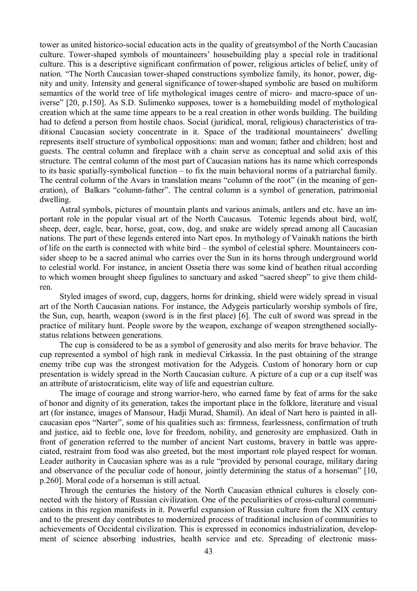tower as united historico-social education acts in the quality of greatsymbol of the North Caucasian culture. Tower-shaped symbols of mountaineers' housebuilding play a special role in traditional culture. This is a descriptive significant confirmation of power, religious articles of belief, unity of nation. "The North Caucasian tower-shaped constructions symbolize family, its honor, power, dignity and unity. Intensity and general significance of tower-shaped symbolic are based on multiform semantics of the world tree of life mythological images centre of micro- and macro-space of universe" [20, p.150]. As S.D. Sulimenko supposes, tower is a homebuilding model of mythological creation which at the same time appears to be a real creation in other words building. The building had to defend a person from hostile chaos. Social (juridical, moral, religious) characteristics of traditional Caucasian society concentrate in it. Space of the traditional mountaineers' dwelling represents itself structure of symbolical oppositions: man and woman; father and children; host and guests. The central column and fireplace with a chain serve as conceptual and solid axis of this structure. The central column of the most part of Caucasian nations has its name which corresponds to its basic spatially-symbolical function – to fix the main behavioral norms of a patriarchal family. The central column of the Avars in translation means "column of the root" (in the meaning of generation), of Balkars "column-father". The central column is a symbol of generation, patrimonial dwelling.

Astral symbols, pictures of mountain plants and various animals, antlers and etc. have an important role in the popular visual art of the North Caucasus. Totemic legends about bird, wolf, sheep, deer, eagle, bear, horse, goat, cow, dog, and snake are widely spread among all Caucasian nations. The part of these legends entered into Nart epos. In mythology of Vainakh nations the birth of life on the earth is connected with white bird – the symbol of celestial sphere. Mountaineers consider sheep to be a sacred animal who carries over the Sun in its horns through underground world to celestial world. For instance, in ancient Ossetia there was some kind of heathen ritual according to which women brought sheep figulines to sanctuary and asked "sacred sheep" to give them children.

Styled images of sword, cup, daggers, horns for drinking, shield were widely spread in visual art of the North Caucasian nations. For instance, the Adygeis particularly worship symbols of fire, the Sun, cup, hearth, weapon (sword is in the first place) [6]. The cult of sword was spread in the practice of military hunt. People swore by the weapon, exchange of weapon strengthened sociallystatus relations between generations.

The cup is considered to be as a symbol of generosity and also merits for brave behavior. The cup represented a symbol of high rank in medieval Cirkassia. In the past obtaining of the strange enemy tribe cup was the strongest motivation for the Adygeis. Custom of honorary horn or cup presentation is widely spread in the North Caucasian culture. A picture of a cup or a cup itself was an attribute of aristocraticism, elite way of life and equestrian culture.

The image of courage and strong warrior-hero, who earned fame by feat of arms for the sake of honor and dignity of its generation, takes the important place in the folklore, literature and visual art (for instance, images of Mansour, Hadji Murad, Shamil). An ideal of Nart hero is painted in allcaucasian epos "Narter", some of his qualities such as: firmness, fearlessness, confirmation of truth and justice, aid to feeble one, love for freedom, nobility, and generosity are emphasized. Oath in front of generation referred to the number of ancient Nart customs, bravery in battle was appreciated, restraint from food was also greeted, but the most important role played respect for woman. Leader authority in Caucasian sphere was as a rule "provided by personal courage, military daring and observance of the peculiar code of honour, jointly determining the status of a horseman" [10, p.260]. Moral code of a horseman is still actual.

Through the centuries the history of the North Caucasian ethnical cultures is closely connected with the history of Russian civilization. One of the peculiarities of cross-cultural communications in this region manifests in it. Powerful expansion of Russian culture from the XIX century and to the present day contributes to modernized process of traditional inclusion of communities to achievements of Occidental civilization. This is expressed in economics industrialization, development of science absorbing industries, health service and etc. Spreading of electronic mass-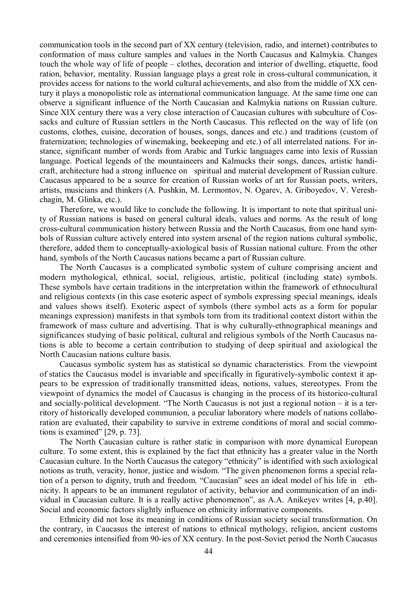communication tools in the second part of XX century (television, radio, and internet) contributes to conformation of mass culture samples and values in the North Caucasus and Kalmykia. Changes touch the whole way of life of people – clothes, decoration and interior of dwelling, etiquette, food ration, behavior, mentality. Russian language plays a great role in cross-cultural communication, it provides access for nations to the world cultural achievements, and also from the middle of XX century it plays a monopolistic role as international communication language. At the same time one can observe a significant influence of the North Caucasian and Kalmykia nations on Russian culture. Since XIX century there was a very close interaction of Caucasian cultures with subculture of Cossacks and culture of Russian settlers in the North Caucasus. This reflected on the way of life (on customs, clothes, cuisine, decoration of houses, songs, dances and etc.) and traditions (custom of fraternization; technologies of winemaking, beekeeping and etc.) of all interrelated nations. For instance, significant number of words from Arabic and Turkic languages came into lexis of Russian language. Poetical legends of the mountaineers and Kalmucks their songs, dances, artistic handicraft, architecture had a strong influence on spiritual and material development of Russian culture. Caucasus appeared to be a source for creation of Russian works of art for Russian poets, writers, artists, musicians and thinkers (A. Pushkin, M. Lermontov, N. Ogarev, A. Griboyedov, V. Vereshchagin, M. Glinka, etc.).

Therefore, we would like to conclude the following. It is important to note that spiritual unity of Russian nations is based on general cultural ideals, values and norms. As the result of long cross-cultural communication history between Russia and the North Caucasus, from one hand symbols of Russian culture actively entered into system arsenal of the region nations cultural symbolic, therefore, added them to conceptually-axiological basis of Russian national culture. From the other hand, symbols of the North Caucasus nations became a part of Russian culture.

The North Caucasus is a complicated symbolic system of culture comprising ancient and modern mythological, ethnical, social, religious, artistic, political (including state) symbols. These symbols have certain traditions in the interpretation within the framework of ethnocultural and religious contexts (in this case esoteric aspect of symbols expressing special meanings, ideals and values shows itself). Exoteric aspect of symbols (there symbol acts as a form for popular meanings expression) manifests in that symbols torn from its traditional context distort within the framework of mass culture and advertising. That is why culturally-ethnographical meanings and significances studying of basic political, cultural and religious symbols of the North Caucasus nations is able to become a certain contribution to studying of deep spiritual and axiological the North Caucasian nations culture basis.

Caucasus symbolic system has as statistical so dynamic characteristics. From the viewpoint of statics the Caucasus model is invariable and specifically in figuratively-symbolic context it appears to be expression of traditionally transmitted ideas, notions, values, stereotypes. From the viewpoint of dynamics the model of Caucasus is changing in the process of its historico-cultural and socially-political development. "The North Caucasus is not just a regional notion – it is a territory of historically developed communion, a peculiar laboratory where models of nations collaboration are evaluated, their capability to survive in extreme conditions of moral and social commotions is examined" [29, p. 73].

The North Caucasian culture is rather static in comparison with more dynamical European culture. To some extent, this is explained by the fact that ethnicity has a greater value in the North Caucasian culture. In the North Caucasus the category "ethnicity" is identified with such axiological notions as truth, veracity, honor, justice and wisdom. "The given phenomenon forms a special relation of a person to dignity, truth and freedom. "Caucasian" sees an ideal model of his life in ethnicity. It appears to be an immanent regulator of activity, behavior and communication of an individual in Caucasian culture. It is a really active phenomenon", as A.A. Anikeyev writes [4, p.40]. Social and economic factors slightly influence on ethnicity informative components.

Ethnicity did not lose its meaning in conditions of Russian society social transformation. On the contrary, in Caucasus the interest of nations to ethnical mythology, religion, ancient customs and ceremonies intensified from 90-ies of XX century. In the post-Soviet period the North Caucasus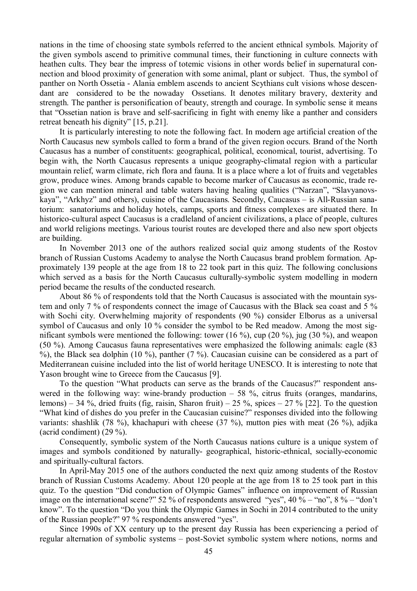nations in the time of choosing state symbols referred to the ancient ethnical symbols. Majority of the given symbols ascend to primitive communal times, their functioning in culture connects with heathen cults. They bear the impress of totemic visions in other words belief in supernatural connection and blood proximity of generation with some animal, plant or subject. Thus, the symbol of panther on North Ossetia - Alania emblem ascends to ancient Scythians cult visions whose descendant are considered to be the nowaday Ossetians. It denotes military bravery, dexterity and strength. The panther is personification of beauty, strength and courage. In symbolic sense it means that "Ossetian nation is brave and self-sacrificing in fight with enemy like a panther and considers retreat beneath his dignity" [15, p.21].

It is particularly interesting to note the following fact. In modern age artificial creation of the North Caucasus new symbols called to form a brand of the given region occurs. Brand of the North Caucasus has a number of constituents: geographical, political, economical, tourist, advertising. To begin with, the North Caucasus represents a unique geography-climatal region with a particular mountain relief, warm climate, rich flora and fauna. It is a place where a lot of fruits and vegetables grow, produce wines. Among brands capable to become marker of Caucasus as economic, trade region we can mention mineral and table waters having healing qualities ("Narzan", "Slavyanovskaya", "Arkhyz" and others), cuisine of the Caucasians. Secondly, Caucasus – is All-Russian sanatorium: sanatoriums and holiday hotels, camps, sports and fitness complexes are situated there. In historico-cultural aspect Caucasus is a cradleland of ancient civilizations, a place of people, cultures and world religions meetings. Various tourist routes are developed there and also new sport objects are building.

In November 2013 one of the authors realized social quiz among students of the Rostov branch of Russian Customs Academy to analyse the North Caucasus brand problem formation. Approximately 139 people at the age from 18 to 22 took part in this quiz. The following conclusions which served as a basis for the North Caucasus culturally-symbolic system modelling in modern period became the results of the conducted research.

About 86 % of respondents told that the North Caucasus is associated with the mountain system and only 7 % of respondents connect the image of Caucasus with the Black sea coast and 5 % with Sochi city. Overwhelming majority of respondents (90 %) consider Elborus as a universal symbol of Caucasus and only 10 % consider the symbol to be Red meadow. Among the most significant symbols were mentioned the following: tower (16 %), cup (20 %), jug (30 %), and weapon (50 %). Among Caucasus fauna representatives were emphasized the following animals: eagle (83 %), the Black sea dolphin (10 %), panther (7 %). Caucasian cuisine can be considered as a part of Mediterranean cuisine included into the list of world heritage UNESCO. It is interesting to note that Yason brought wine to Greece from the Caucasus [9].

To the question "What products can serve as the brands of the Caucasus?" respondent answered in the following way: wine-brandy production  $-58$  %, citrus fruits (oranges, mandarins, lemons) – 34 %, dried fruits (fig, raisin, Sharon fruit) – 25 %, spices – 27 % [22]. To the question "What kind of dishes do you prefer in the Caucasian cuisine?" responses divided into the following variants: shashlik (78 %), khachapuri with cheese (37 %), mutton pies with meat (26 %), adjika (acrid condiment) (29 %).

Consequently, symbolic system of the North Caucasus nations culture is a unique system of images and symbols conditioned by naturally- geographical, historic-ethnical, socially-economic and spiritually-cultural factors.

In April-May 2015 one of the authors conducted the next quiz among students of the Rostov branch of Russian Customs Academy. About 120 people at the age from 18 to 25 took part in this quiz. To the question "Did conduction of Olympic Games" influence on improvement of Russian image on the international scene?" 52 % of respondents answered "yes", 40 % – "no", 8 % – "don't know". To the question "Do you think the Olympic Games in Sochi in 2014 contributed to the unity of the Russian people?" 97 % respondents answered "yes".

Since 1990s of XX century up to the present day Russia has been experiencing a period of regular alternation of symbolic systems – post-Soviet symbolic system where notions, norms and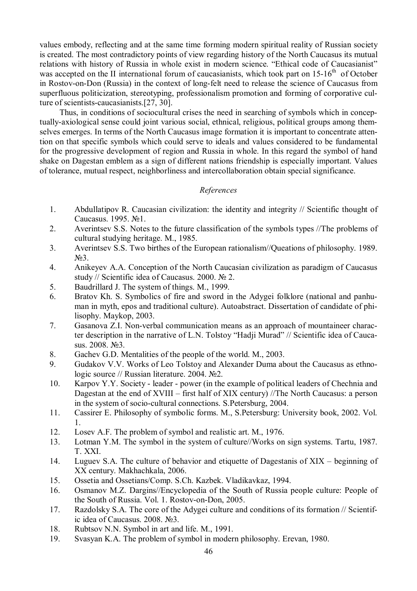values embody, reflecting and at the same time forming modern spiritual reality of Russian society is created. The most contradictory points of view regarding history of the North Caucasus its mutual relations with history of Russia in whole exist in modern science. "Ethical code of Caucasianist" was accepted on the II international forum of caucasianists, which took part on  $15{\text -}16^{\text{th}}$  of October in Rostov-on-Don (Russia) in the context of long-felt need to release the science of Caucasus from superfluous politicization, stereotyping, professionalism promotion and forming of corporative culture of scientists-caucasianists.[27, 30].

Thus, in conditions of sociocultural crises the need in searching of symbols which in conceptually-axiological sense could joint various social, ethnical, religious, political groups among themselves emerges. In terms of the North Caucasus image formation it is important to concentrate attention on that specific symbols which could serve to ideals and values considered to be fundamental for the progressive development of region and Russia in whole. In this regard the symbol of hand shake on Dagestan emblem as a sign of different nations friendship is especially important. Values of tolerance, mutual respect, neighborliness and intercollaboration obtain special significance.

# *References*

- 1. Abdullatipov R. Caucasian civilization: the identity and integrity // Scientific thought of Caucasus. 1995. №1.
- 2. Averintsev S.S. Notes to the future classification of the symbols types //The problems of cultural studying heritage. M., 1985.
- 3. Averintsev S.S. Two birthes of the European rationalism//Queations of philosophy. 1989.  $N<sub>0</sub>3$ .
- 4. Anikeyev A.A. Conception of the North Caucasian civilization as paradigm of Caucasus study // Scientific idea of Caucasus. 2000. № 2.
- 5. Baudrillard J. The system of things. M., 1999.
- 6. Bratov Kh. S. Symbolics of fire and sword in the Adygei folklore (national and panhuman in myth, epos and traditional culture). Autoabstract. Dissertation of candidate of philisophy. Maykop, 2003.
- 7. Gasanova Z.I. Non-verbal communication means as an approach of mountaineer character description in the narrative of L.N. Tolstoy "Hadji Murad" // Scientific idea of Caucasus. 2008. No 3.
- 8. Gachev G.D. Mentalities of the people of the world. M., 2003.
- 9. Gudakov V.V. Works of Leo Tolstoy and Alexander Duma about the Caucasus as ethnologic source // Russian literature. 2004. №2.
- 10. Karpov Y.Y. Society leader power (in the example of political leaders of Chechnia and Dagestan at the end of XVIII – first half of XIX century) //The North Caucasus: a person in the system of socio-cultural connections. S.Petersburg, 2004.
- 11. Cassirer E. Philosophy of symbolic forms. M., S.Petersburg: University book, 2002. Vol. 1.
- 12. Losev A.F. The problem of symbol and realistic art. M., 1976.
- 13. Lotman Y.M. The symbol in the system of culture//Works on sign systems. Tartu, 1987. T. XXI.
- 14. Luguev S.A. The culture of behavior and etiquette of Dagestanis of XIX beginning of XX century. Makhachkala, 2006.
- 15. Ossetia and Ossetians/Comp. S.Ch. Kazbek. Vladikavkaz, 1994.
- 16. Osmanov M.Z. Dargins//Encyclopedia of the South of Russia people culture: People of the South of Russia. Vol. 1. Rostov-on-Don, 2005.
- 17. Razdolsky S.A. The core of the Adygei culture and conditions of its formation // Scientific idea of Caucasus. 2008. №3.
- 18. Rubtsov N.N. Symbol in art and life. M., 1991.
- 19. Svasyan K.A. The problem of symbol in modern philosophy. Erevan, 1980.